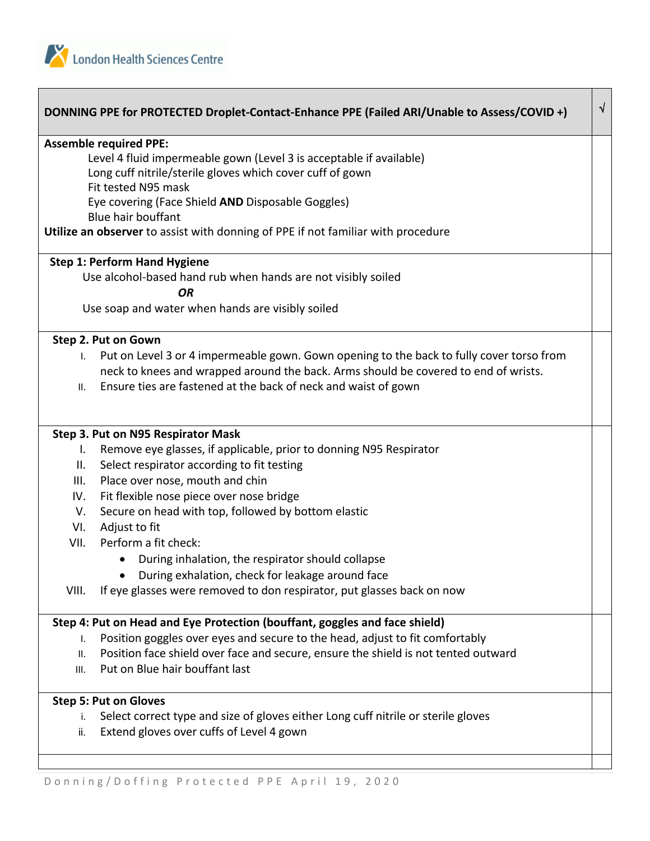

|              | DONNING PPE for PROTECTED Droplet-Contact-Enhance PPE (Failed ARI/Unable to Assess/COVID +) | $\sqrt{ }$ |
|--------------|---------------------------------------------------------------------------------------------|------------|
|              | <b>Assemble required PPE:</b>                                                               |            |
|              | Level 4 fluid impermeable gown (Level 3 is acceptable if available)                         |            |
|              | Long cuff nitrile/sterile gloves which cover cuff of gown                                   |            |
|              | Fit tested N95 mask                                                                         |            |
|              | Eye covering (Face Shield AND Disposable Goggles)                                           |            |
|              | <b>Blue hair bouffant</b>                                                                   |            |
|              | Utilize an observer to assist with donning of PPE if not familiar with procedure            |            |
|              | <b>Step 1: Perform Hand Hygiene</b>                                                         |            |
|              | Use alcohol-based hand rub when hands are not visibly soiled                                |            |
|              | <b>OR</b>                                                                                   |            |
|              | Use soap and water when hands are visibly soiled                                            |            |
|              | Step 2. Put on Gown                                                                         |            |
| $\mathbf{L}$ | Put on Level 3 or 4 impermeable gown. Gown opening to the back to fully cover torso from    |            |
|              | neck to knees and wrapped around the back. Arms should be covered to end of wrists.         |            |
| II.          | Ensure ties are fastened at the back of neck and waist of gown                              |            |
|              |                                                                                             |            |
|              | Step 3. Put on N95 Respirator Mask                                                          |            |
| I.           | Remove eye glasses, if applicable, prior to donning N95 Respirator                          |            |
| II.          | Select respirator according to fit testing                                                  |            |
| III.         | Place over nose, mouth and chin                                                             |            |
| IV.          | Fit flexible nose piece over nose bridge                                                    |            |
| V.           | Secure on head with top, followed by bottom elastic                                         |            |
| VI.          | Adjust to fit                                                                               |            |
| VII.         | Perform a fit check:                                                                        |            |
|              | During inhalation, the respirator should collapse                                           |            |
|              | During exhalation, check for leakage around face                                            |            |
| VIII.        | If eye glasses were removed to don respirator, put glasses back on now                      |            |
|              | Step 4: Put on Head and Eye Protection (bouffant, goggles and face shield)                  |            |
| Ι.           | Position goggles over eyes and secure to the head, adjust to fit comfortably                |            |
| II.          | Position face shield over face and secure, ensure the shield is not tented outward          |            |
| III.         | Put on Blue hair bouffant last                                                              |            |
|              | <b>Step 5: Put on Gloves</b>                                                                |            |
| i.           | Select correct type and size of gloves either Long cuff nitrile or sterile gloves           |            |
| ii.          | Extend gloves over cuffs of Level 4 gown                                                    |            |
|              |                                                                                             |            |
|              |                                                                                             |            |